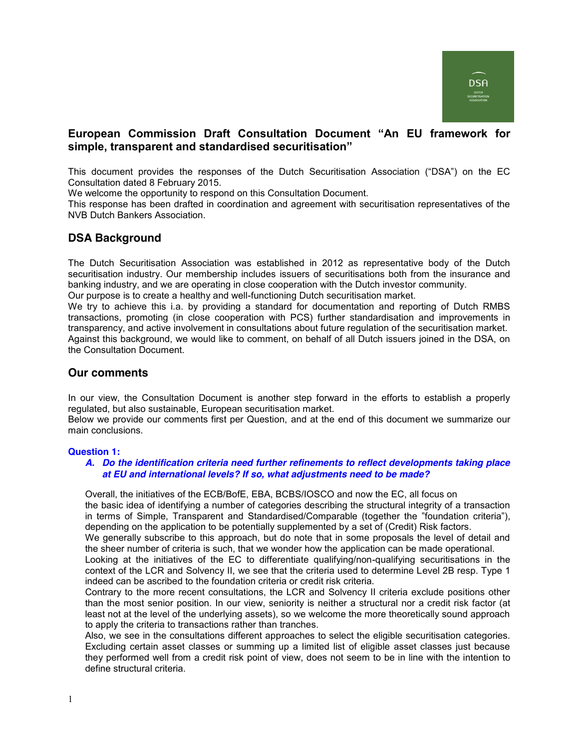# **European Commission Draft Consultation Document "An EU framework for** simple, transparent and standardised securitisation"

This document provides the responses of the Dutch Securitisation Association ("DSA") on the EC Consultation dated 8 February 2015.

We welcome the opportunity to respond on this Consultation Document.

This response has been drafted in coordination and agreement with securitisation representatives of the NVB Dutch Bankers Association.

# **DSA Background**

The Dutch Securitisation Association was established in 2012 as representative body of the Dutch securitisation industry. Our membership includes issuers of securitisations both from the insurance and banking industry, and we are operating in close cooperation with the Dutch investor community. Our purpose is to create a healthy and well-functioning Dutch securitisation market.

We try to achieve this i.a. by providing a standard for documentation and reporting of Dutch RMBS transactions, promoting (in close cooperation with PCS) further standardisation and improvements in transparency, and active involvement in consultations about future regulation of the securitisation market. Against this background, we would like to comment, on behalf of all Dutch issuers joined in the DSA, on the Consultation Document.

## **Our comments**

In our view, the Consultation Document is another step forward in the efforts to establish a properly regulated, but also sustainable, European securitisation market.

Below we provide our comments first per Question, and at the end of this document we summarize our main conclusions.

### **Question 1:**

### *A. Do the identification criteria need further refinements to reflect developments taking place at EU and international levels? If so, what adjustments need to be made?*

Overall, the initiatives of the ECB/BofE, EBA, BCBS/IOSCO and now the EC, all focus on the basic idea of identifying a number of categories describing the structural integrity of a transaction in terms of Simple, Transparent and Standardised/Comparable (together the "foundation criteria"), depending on the application to be potentially supplemented by a set of (Credit) Risk factors.

We generally subscribe to this approach, but do note that in some proposals the level of detail and the sheer number of criteria is such, that we wonder how the application can be made operational.

Looking at the initiatives of the EC to differentiate qualifying/non-qualifying securitisations in the context of the LCR and Solvency II, we see that the criteria used to determine Level 2B resp. Type 1 indeed can be ascribed to the foundation criteria or credit risk criteria.

Contrary to the more recent consultations, the LCR and Solvency II criteria exclude positions other than the most senior position. In our view, seniority is neither a structural nor a credit risk factor (at least not at the level of the underlying assets), so we welcome the more theoretically sound approach to apply the criteria to transactions rather than tranches.

Also, we see in the consultations different approaches to select the eligible securitisation categories. Excluding certain asset classes or summing up a limited list of eligible asset classes just because they performed well from a credit risk point of view, does not seem to be in line with the intention to define structural criteria.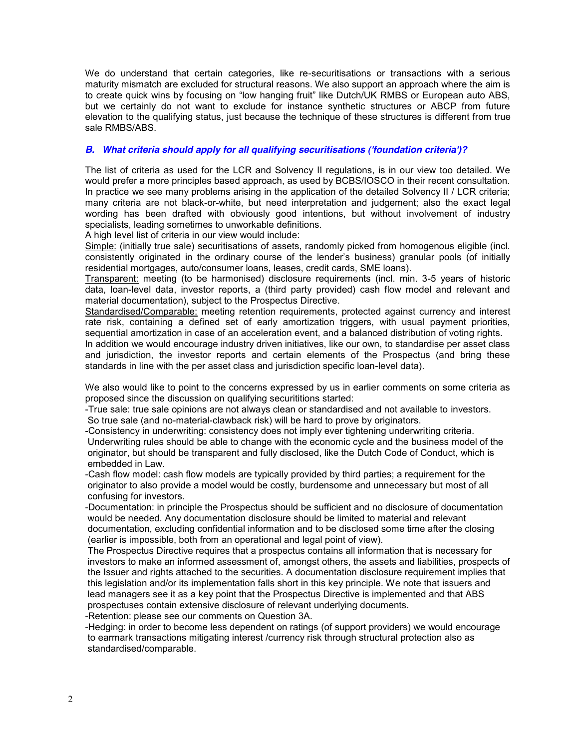We do understand that certain categories, like re-securitisations or transactions with a serious maturity mismatch are excluded for structural reasons. We also support an approach where the aim is to create quick wins by focusing on "low hanging fruit" like Dutch/UK RMBS or European auto ABS, but we certainly do not want to exclude for instance synthetic structures or ABCP from future elevation to the qualifying status, just because the technique of these structures is different from true sale RMBS/ABS.

### *B. What criteria should apply for all qualifying securitisations ('foundation criteria')?*

The list of criteria as used for the LCR and Solvency II regulations, is in our view too detailed. We would prefer a more principles based approach, as used by BCBS/IOSCO in their recent consultation. In practice we see many problems arising in the application of the detailed Solvency II / LCR criteria; many criteria are not black-or-white, but need interpretation and judgement; also the exact legal wording has been drafted with obviously good intentions, but without involvement of industry specialists, leading sometimes to unworkable definitions.

A high level list of criteria in our view would include:

Simple: (initially true sale) securitisations of assets, randomly picked from homogenous eligible (incl. consistently originated in the ordinary course of the lender's business) granular pools (of initially residential mortgages, auto/consumer loans, leases, credit cards, SME loans).

Transparent: meeting (to be harmonised) disclosure requirements (incl. min. 3-5 years of historic data, loan-level data, investor reports, a (third party provided) cash flow model and relevant and material documentation), subject to the Prospectus Directive.

Standardised/Comparable: meeting retention requirements, protected against currency and interest rate risk, containing a defined set of early amortization triggers, with usual payment priorities, sequential amortization in case of an acceleration event, and a balanced distribution of voting rights.

In addition we would encourage industry driven initiatives, like our own, to standardise per asset class and jurisdiction, the investor reports and certain elements of the Prospectus (and bring these standards in line with the per asset class and jurisdiction specific loan-level data).

We also would like to point to the concerns expressed by us in earlier comments on some criteria as proposed since the discussion on qualifying securititions started:

-True sale: true sale opinions are not always clean or standardised and not available to investors. So true sale (and no-material-clawback risk) will be hard to prove by originators.

-Consistency in underwriting: consistency does not imply ever tightening underwriting criteria. Underwriting rules should be able to change with the economic cycle and the business model of the

originator, but should be transparent and fully disclosed, like the Dutch Code of Conduct, which is embedded in Law.

-Cash flow model: cash flow models are typically provided by third parties; a requirement for the originator to also provide a model would be costly, burdensome and unnecessary but most of all confusing for investors.

-Documentation: in principle the Prospectus should be sufficient and no disclosure of documentation would be needed. Any documentation disclosure should be limited to material and relevant documentation, excluding confidential information and to be disclosed some time after the closing (earlier is impossible, both from an operational and legal point of view).

The Prospectus Directive requires that a prospectus contains all information that is necessary for investors to make an informed assessment of, amongst others, the assets and liabilities, prospects of the Issuer and rights attached to the securities. A documentation disclosure requirement implies that this legislation and/or its implementation falls short in this key principle. We note that issuers and lead managers see it as a key point that the Prospectus Directive is implemented and that ABS prospectuses contain extensive disclosure of relevant underlying documents.

-Retention: please see our comments on Question 3A.

-Hedging: in order to become less dependent on ratings (of support providers) we would encourage to earmark transactions mitigating interest /currency risk through structural protection also as standardised/comparable.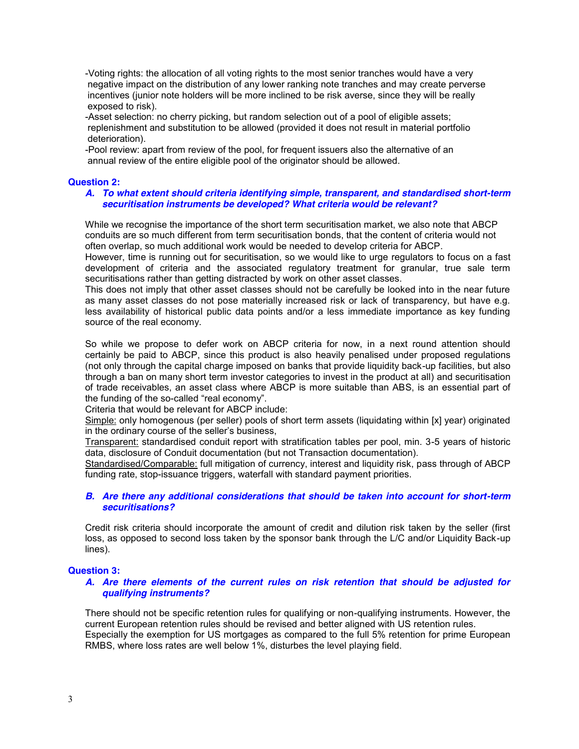-Voting rights: the allocation of all voting rights to the most senior tranches would have a very negative impact on the distribution of any lower ranking note tranches and may create perverse incentives (junior note holders will be more inclined to be risk averse, since they will be really exposed to risk).

-Asset selection: no cherry picking, but random selection out of a pool of eligible assets; replenishment and substitution to be allowed (provided it does not result in material portfolio deterioration).

-Pool review: apart from review of the pool, for frequent issuers also the alternative of an annual review of the entire eligible pool of the originator should be allowed.

### **Question 2:**

#### *A. To what extent should criteria identifying simple, transparent, and standardised short-term securitisation instruments be developed? What criteria would be relevant?*

While we recognise the importance of the short term securitisation market, we also note that ABCP conduits are so much different from term securitisation bonds, that the content of criteria would not often overlap, so much additional work would be needed to develop criteria for ABCP.

However, time is running out for securitisation, so we would like to urge regulators to focus on a fast development of criteria and the associated regulatory treatment for granular, true sale term securitisations rather than getting distracted by work on other asset classes.

This does not imply that other asset classes should not be carefully be looked into in the near future as many asset classes do not pose materially increased risk or lack of transparency, but have e.g. less availability of historical public data points and/or a less immediate importance as key funding source of the real economy.

So while we propose to defer work on ABCP criteria for now, in a next round attention should certainly be paid to ABCP, since this product is also heavily penalised under proposed regulations (not only through the capital charge imposed on banks that provide liquidity back-up facilities, but also through a ban on many short term investor categories to invest in the product at all) and securitisation of trade receivables, an asset class where ABCP is more suitable than ABS, is an essential part of the funding of the so-called "real economy".

Criteria that would be relevant for ABCP include:

Simple: only homogenous (per seller) pools of short term assets (liquidating within [x] year) originated in the ordinary course of the seller's business.

Transparent: standardised conduit report with stratification tables per pool, min. 3-5 years of historic data, disclosure of Conduit documentation (but not Transaction documentation).

Standardised/Comparable: full mitigation of currency, interest and liquidity risk, pass through of ABCP funding rate, stop-issuance triggers, waterfall with standard payment priorities.

### *B. Are there any additional considerations that should be taken into account for short-term securitisations?*

Credit risk criteria should incorporate the amount of credit and dilution risk taken by the seller (first loss, as opposed to second loss taken by the sponsor bank through the L/C and/or Liquidity Back-up lines).

### **Question 3:**

### *A. Are there elements of the current rules on risk retention that should be adjusted for qualifying instruments?*

There should not be specific retention rules for qualifying or non-qualifying instruments. However, the current European retention rules should be revised and better aligned with US retention rules. Especially the exemption for US mortgages as compared to the full 5% retention for prime European RMBS, where loss rates are well below 1%, disturbes the level playing field.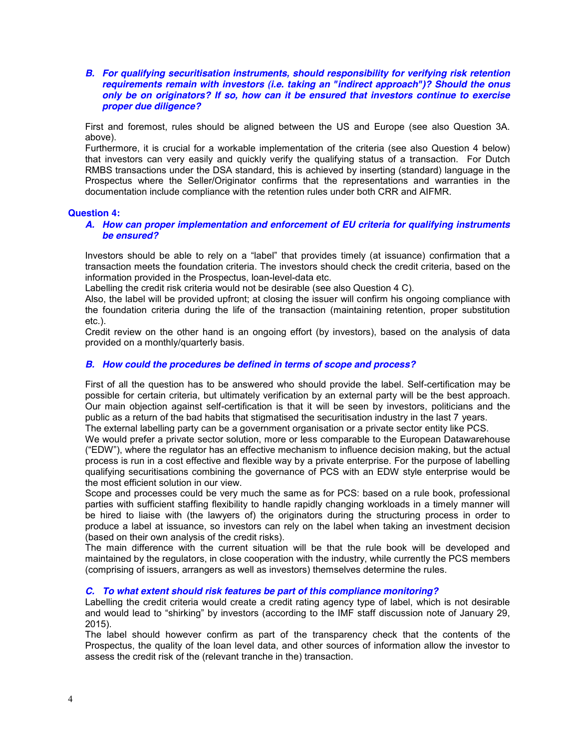*B. For qualifying securitisation instruments, should responsibility for verifying risk retention requirements remain with investors (i.e. taking an "indirect approach")? Should the onus only be on originators? If so, how can it be ensured that investors continue to exercise proper due diligence?* 

First and foremost, rules should be aligned between the US and Europe (see also Question 3A. above).

Furthermore, it is crucial for a workable implementation of the criteria (see also Question 4 below) that investors can very easily and quickly verify the qualifying status of a transaction. For Dutch RMBS transactions under the DSA standard, this is achieved by inserting (standard) language in the Prospectus where the Seller/Originator confirms that the representations and warranties in the documentation include compliance with the retention rules under both CRR and AIFMR.

### **Question 4:**

### *A. How can proper implementation and enforcement of EU criteria for qualifying instruments be ensured?*

Investors should be able to rely on a "label" that provides timely (at issuance) confirmation that a transaction meets the foundation criteria. The investors should check the credit criteria, based on the information provided in the Prospectus, loan-level-data etc.

Labelling the credit risk criteria would not be desirable (see also Question 4 C).

Also, the label will be provided upfront; at closing the issuer will confirm his ongoing compliance with the foundation criteria during the life of the transaction (maintaining retention, proper substitution etc.).

Credit review on the other hand is an ongoing effort (by investors), based on the analysis of data provided on a monthly/quarterly basis.

### *B. How could the procedures be defined in terms of scope and process?*

First of all the question has to be answered who should provide the label. Self-certification may be possible for certain criteria, but ultimately verification by an external party will be the best approach. Our main objection against self-certification is that it will be seen by investors, politicians and the public as a return of the bad habits that stigmatised the securitisation industry in the last 7 years.

The external labelling party can be a government organisation or a private sector entity like PCS.

We would prefer a private sector solution, more or less comparable to the European Datawarehouse ("EDW"), where the regulator has an effective mechanism to influence decision making, but the actual process is run in a cost effective and flexible way by a private enterprise. For the purpose of labelling qualifying securitisations combining the governance of PCS with an EDW style enterprise would be the most efficient solution in our view.

Scope and processes could be very much the same as for PCS: based on a rule book, professional parties with sufficient staffing flexibility to handle rapidly changing workloads in a timely manner will be hired to liaise with (the lawyers of) the originators during the structuring process in order to produce a label at issuance, so investors can rely on the label when taking an investment decision (based on their own analysis of the credit risks).

The main difference with the current situation will be that the rule book will be developed and maintained by the regulators, in close cooperation with the industry, while currently the PCS members (comprising of issuers, arrangers as well as investors) themselves determine the rules.

### *C. To what extent should risk features be part of this compliance monitoring?*

Labelling the credit criteria would create a credit rating agency type of label, which is not desirable and would lead to "shirking" by investors (according to the IMF staff discussion note of January 29, 2015).

The label should however confirm as part of the transparency check that the contents of the Prospectus, the quality of the loan level data, and other sources of information allow the investor to assess the credit risk of the (relevant tranche in the) transaction.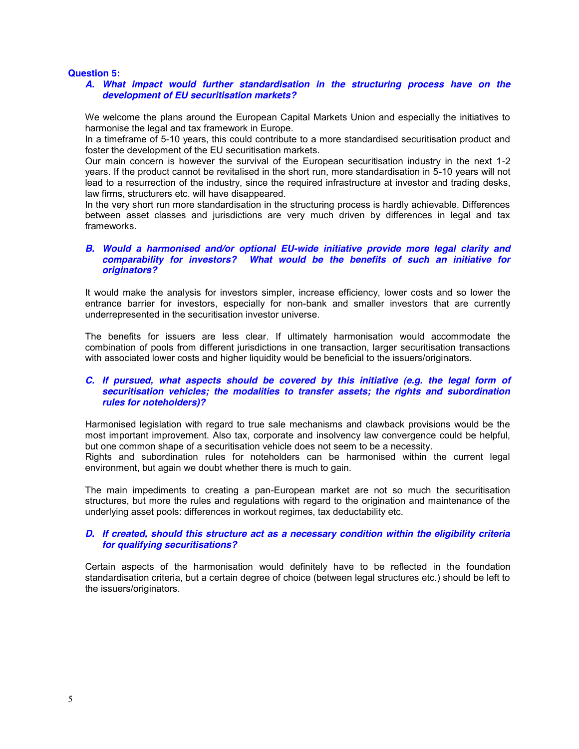#### **Question 5:**

#### *A. What impact would further standardisation in the structuring process have on the development of EU securitisation markets?*

We welcome the plans around the European Capital Markets Union and especially the initiatives to harmonise the legal and tax framework in Europe.

In a timeframe of 5-10 years, this could contribute to a more standardised securitisation product and foster the development of the EU securitisation markets.

Our main concern is however the survival of the European securitisation industry in the next 1-2 years. If the product cannot be revitalised in the short run, more standardisation in 5-10 years will not lead to a resurrection of the industry, since the required infrastructure at investor and trading desks, law firms, structurers etc. will have disappeared.

In the very short run more standardisation in the structuring process is hardly achievable. Differences between asset classes and jurisdictions are very much driven by differences in legal and tax frameworks.

### *B. Would a harmonised and/or optional EU-wide initiative provide more legal clarity and comparability for investors? What would be the benefits of such an initiative for originators?*

It would make the analysis for investors simpler, increase efficiency, lower costs and so lower the entrance barrier for investors, especially for non-bank and smaller investors that are currently underrepresented in the securitisation investor universe.

The benefits for issuers are less clear. If ultimately harmonisation would accommodate the combination of pools from different jurisdictions in one transaction, larger securitisation transactions with associated lower costs and higher liquidity would be beneficial to the issuers/originators.

#### *C. If pursued, what aspects should be covered by this initiative (e.g. the legal form of securitisation vehicles; the modalities to transfer assets; the rights and subordination rules for noteholders)?*

Harmonised legislation with regard to true sale mechanisms and clawback provisions would be the most important improvement. Also tax, corporate and insolvency law convergence could be helpful, but one common shape of a securitisation vehicle does not seem to be a necessity.

Rights and subordination rules for noteholders can be harmonised within the current legal environment, but again we doubt whether there is much to gain.

The main impediments to creating a pan-European market are not so much the securitisation structures, but more the rules and regulations with regard to the origination and maintenance of the underlying asset pools: differences in workout regimes, tax deductability etc.

### *D. If created, should this structure act as a necessary condition within the eligibility criteria for qualifying securitisations?*

Certain aspects of the harmonisation would definitely have to be reflected in the foundation standardisation criteria, but a certain degree of choice (between legal structures etc.) should be left to the issuers/originators.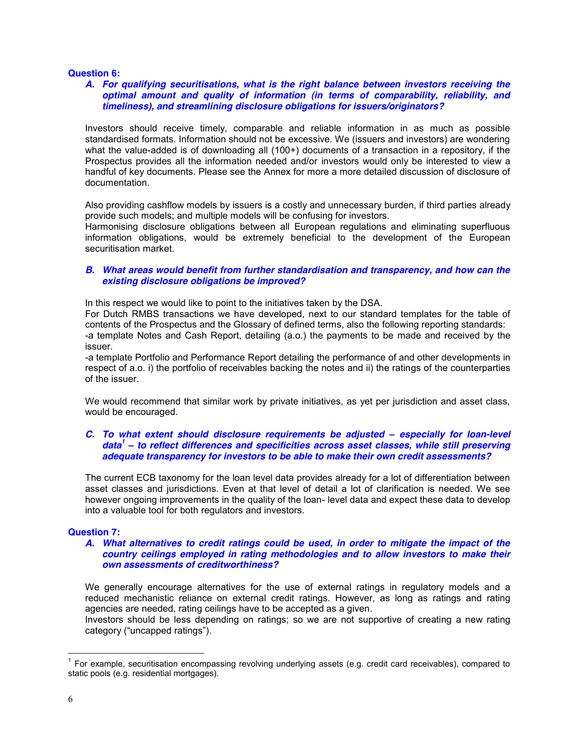#### **Question 6:**

#### *A. For qualifying securitisations, what is the right balance between investors receiving the optimal amount and quality of information (in terms of comparability, reliability, and timeliness), and streamlining disclosure obligations for issuers/originators?*

Investors should receive timely, comparable and reliable information in as much as possible standardised formats. Information should not be excessive. We (issuers and investors) are wondering what the value-added is of downloading all (100+) documents of a transaction in a repository, if the Prospectus provides all the information needed and/or investors would only be interested to view a handful of key documents. Please see the Annex for more a more detailed discussion of disclosure of documentation.

Also providing cashflow models by issuers is a costly and unnecessary burden, if third parties already provide such models; and multiple models will be confusing for investors.

Harmonising disclosure obligations between all European regulations and eliminating superfluous information obligations, would be extremely beneficial to the development of the European securitisation market.

#### *B. What areas would benefit from further standardisation and transparency, and how can the existing disclosure obligations be improved?*

In this respect we would like to point to the initiatives taken by the DSA.

For Dutch RMBS transactions we have developed, next to our standard templates for the table of contents of the Prospectus and the Glossary of defined terms, also the following reporting standards: -a template Notes and Cash Report, detailing (a.o.) the payments to be made and received by the issuer.

-a template Portfolio and Performance Report detailing the performance of and other developments in respect of a.o. i) the portfolio of receivables backing the notes and ii) the ratings of the counterparties of the issuer.

We would recommend that similar work by private initiatives, as yet per jurisdiction and asset class, would be encouraged.

#### *C.* To what extent should disclosure requirements be adjusted  $-$  especially for loan-level *data<sup>1</sup> ± to reflect differences and specificities across asset classes, while still preserving adequate transparency for investors to be able to make their own credit assessments?*

The current ECB taxonomy for the loan level data provides already for a lot of differentiation between asset classes and jurisdictions. Even at that level of detail a lot of clarification is needed. We see however ongoing improvements in the quality of the loan- level data and expect these data to develop into a valuable tool for both regulators and investors.

### **Question 7:**

#### *A. What alternatives to credit ratings could be used, in order to mitigate the impact of the country ceilings employed in rating methodologies and to allow investors to make their own assessments of creditworthiness?*

We generally encourage alternatives for the use of external ratings in regulatory models and a reduced mechanistic reliance on external credit ratings. However, as long as ratings and rating agencies are needed, rating ceilings have to be accepted as a given.

Investors should be less depending on ratings; so we are not supportive of creating a new rating category ("uncapped ratings").

 $1$  For example, securitisation encompassing revolving underlying assets (e.g. credit card receivables), compared to static pools (e.g. residential mortgages).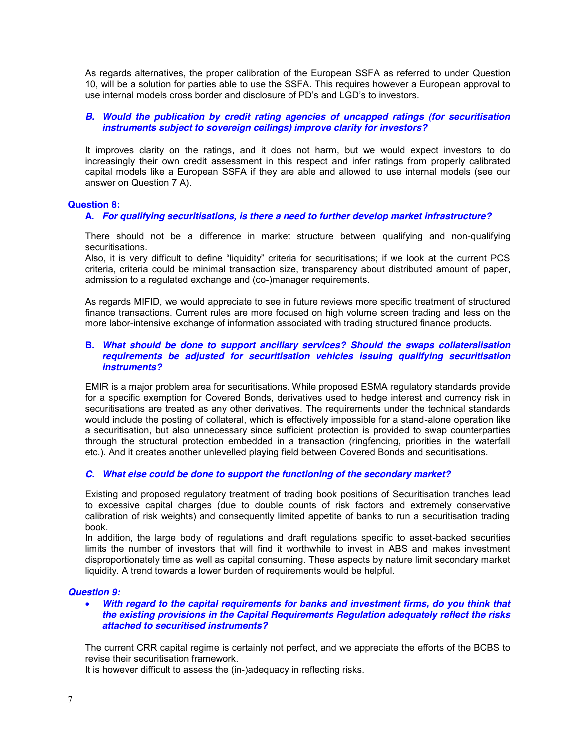As regards alternatives, the proper calibration of the European SSFA as referred to under Question 10, will be a solution for parties able to use the SSFA. This requires however a European approval to use internal models cross border and disclosure of PD's and LGD's to investors.

### *B. Would the publication by credit rating agencies of uncapped ratings (for securitisation instruments subject to sovereign ceilings) improve clarity for investors?*

It improves clarity on the ratings, and it does not harm, but we would expect investors to do increasingly their own credit assessment in this respect and infer ratings from properly calibrated capital models like a European SSFA if they are able and allowed to use internal models (see our answer on Question 7 A).

#### **Question 8:**

#### **A.** *For qualifying securitisations, is there a need to further develop market infrastructure?*

There should not be a difference in market structure between qualifying and non-qualifying securitisations.

Also, it is very difficult to define "liquidity" criteria for securitisations; if we look at the current PCS criteria, criteria could be minimal transaction size, transparency about distributed amount of paper, admission to a regulated exchange and (co-)manager requirements.

As regards MIFID, we would appreciate to see in future reviews more specific treatment of structured finance transactions. Current rules are more focused on high volume screen trading and less on the more labor-intensive exchange of information associated with trading structured finance products.

#### **B.** *What should be done to support ancillary services? Should the swaps collateralisation requirements be adjusted for securitisation vehicles issuing qualifying securitisation instruments?*

EMIR is a major problem area for securitisations. While proposed ESMA regulatory standards provide for a specific exemption for Covered Bonds, derivatives used to hedge interest and currency risk in securitisations are treated as any other derivatives. The requirements under the technical standards would include the posting of collateral, which is effectively impossible for a stand-alone operation like a securitisation, but also unnecessary since sufficient protection is provided to swap counterparties through the structural protection embedded in a transaction (ringfencing, priorities in the waterfall etc.). And it creates another unlevelled playing field between Covered Bonds and securitisations.

### *C. What else could be done to support the functioning of the secondary market?*

Existing and proposed regulatory treatment of trading book positions of Securitisation tranches lead to excessive capital charges (due to double counts of risk factors and extremely conservative calibration of risk weights) and consequently limited appetite of banks to run a securitisation trading book.

In addition, the large body of regulations and draft regulations specific to asset-backed securities limits the number of investors that will find it worthwhile to invest in ABS and makes investment disproportionately time as well as capital consuming. These aspects by nature limit secondary market liquidity. A trend towards a lower burden of requirements would be helpful.

#### *Question 9:*

#### With regard to the capital requirements for banks and investment firms, do you think that *the existing provisions in the Capital Requirements Regulation adequately reflect the risks attached to securitised instruments?*

The current CRR capital regime is certainly not perfect, and we appreciate the efforts of the BCBS to revise their securitisation framework.

It is however difficult to assess the (in-)adequacy in reflecting risks.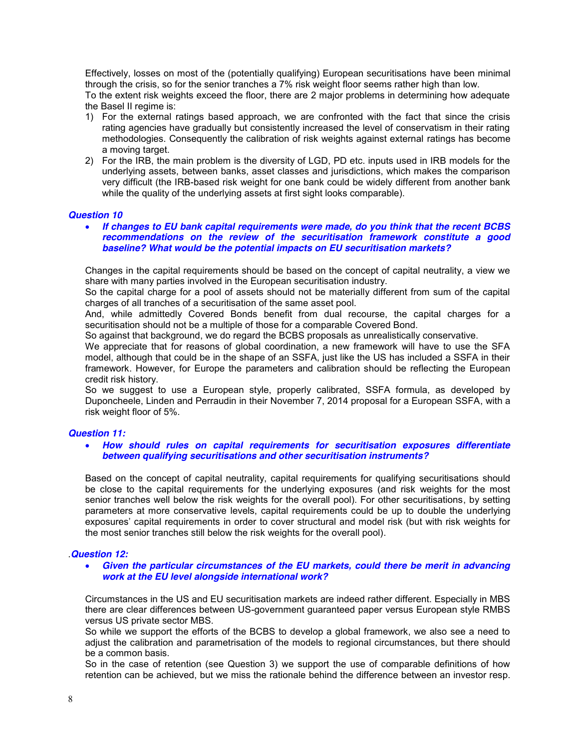Effectively, losses on most of the (potentially qualifying) European securitisations have been minimal through the crisis, so for the senior tranches a 7% risk weight floor seems rather high than low.

To the extent risk weights exceed the floor, there are 2 major problems in determining how adequate the Basel II regime is:

- 1) For the external ratings based approach, we are confronted with the fact that since the crisis rating agencies have gradually but consistently increased the level of conservatism in their rating methodologies. Consequently the calibration of risk weights against external ratings has become a moving target.
- 2) For the IRB, the main problem is the diversity of LGD, PD etc. inputs used in IRB models for the underlying assets, between banks, asset classes and jurisdictions, which makes the comparison very difficult (the IRB-based risk weight for one bank could be widely different from another bank while the quality of the underlying assets at first sight looks comparable).

#### *Question 10*

x *If changes to EU bank capital requirements were made, do you think that the recent BCBS recommendations on the review of the securitisation framework constitute a good baseline? What would be the potential impacts on EU securitisation markets?*

Changes in the capital requirements should be based on the concept of capital neutrality, a view we share with many parties involved in the European securitisation industry.

So the capital charge for a pool of assets should not be materially different from sum of the capital charges of all tranches of a securitisation of the same asset pool.

And, while admittedly Covered Bonds benefit from dual recourse, the capital charges for a securitisation should not be a multiple of those for a comparable Covered Bond.

So against that background, we do regard the BCBS proposals as unrealistically conservative.

We appreciate that for reasons of global coordination, a new framework will have to use the SFA model, although that could be in the shape of an SSFA, just like the US has included a SSFA in their framework. However, for Europe the parameters and calibration should be reflecting the European credit risk history.

So we suggest to use a European style, properly calibrated, SSFA formula, as developed by Duponcheele, Linden and Perraudin in their November 7, 2014 proposal for a European SSFA, with a risk weight floor of 5%.

#### *Question 11:*

#### x *How should rules on capital requirements for securitisation exposures differentiate between qualifying securitisations and other securitisation instruments?*

Based on the concept of capital neutrality, capital requirements for qualifying securitisations should be close to the capital requirements for the underlying exposures (and risk weights for the most senior tranches well below the risk weights for the overall pool). For other securitisations, by setting parameters at more conservative levels, capital requirements could be up to double the underlying exposures' capital requirements in order to cover structural and model risk (but with risk weights for the most senior tranches still below the risk weights for the overall pool).

### .*Question 12:*

#### x *Given the particular circumstances of the EU markets, could there be merit in advancing work at the EU level alongside international work?*

Circumstances in the US and EU securitisation markets are indeed rather different. Especially in MBS there are clear differences between US-government guaranteed paper versus European style RMBS versus US private sector MBS.

So while we support the efforts of the BCBS to develop a global framework, we also see a need to adjust the calibration and parametrisation of the models to regional circumstances, but there should be a common basis.

So in the case of retention (see Question 3) we support the use of comparable definitions of how retention can be achieved, but we miss the rationale behind the difference between an investor resp.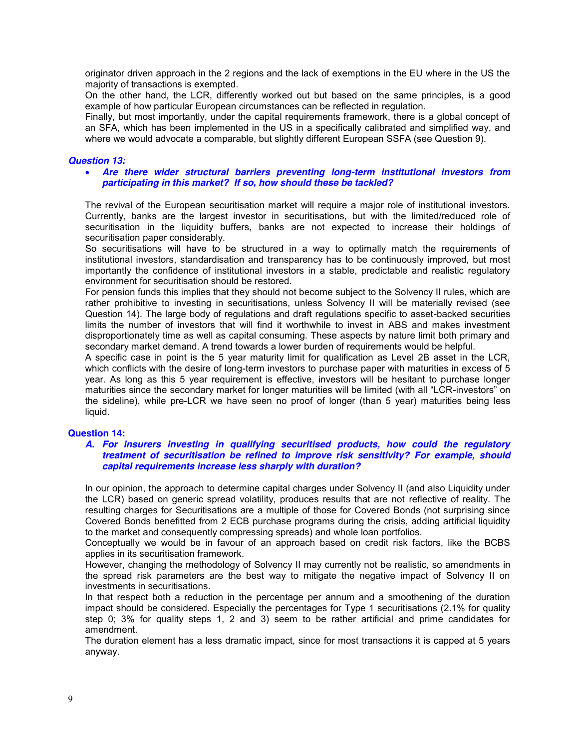originator driven approach in the 2 regions and the lack of exemptions in the EU where in the US the majority of transactions is exempted.

On the other hand, the LCR, differently worked out but based on the same principles, is a good example of how particular European circumstances can be reflected in regulation.

Finally, but most importantly, under the capital requirements framework, there is a global concept of an SFA, which has been implemented in the US in a specifically calibrated and simplified way, and where we would advocate a comparable, but slightly different European SSFA (see Question 9).

#### *Question 13:*

#### **•** Are there wider structural barriers preventing long-term institutional investors from *participating in this market? If so, how should these be tackled?*

The revival of the European securitisation market will require a major role of institutional investors. Currently, banks are the largest investor in securitisations, but with the limited/reduced role of securitisation in the liquidity buffers, banks are not expected to increase their holdings of securitisation paper considerably.

So securitisations will have to be structured in a way to optimally match the requirements of institutional investors, standardisation and transparency has to be continuously improved, but most importantly the confidence of institutional investors in a stable, predictable and realistic regulatory environment for securitisation should be restored.

For pension funds this implies that they should not become subject to the Solvency II rules, which are rather prohibitive to investing in securitisations, unless Solvency II will be materially revised (see Question 14). The large body of regulations and draft regulations specific to asset-backed securities limits the number of investors that will find it worthwhile to invest in ABS and makes investment disproportionately time as well as capital consuming. These aspects by nature limit both primary and secondary market demand. A trend towards a lower burden of requirements would be helpful.

A specific case in point is the 5 year maturity limit for qualification as Level 2B asset in the LCR, which conflicts with the desire of long-term investors to purchase paper with maturities in excess of 5 year. As long as this 5 year requirement is effective, investors will be hesitant to purchase longer maturities since the secondary market for longer maturities will be limited (with all "LCR-investors" on the sideline), while pre-LCR we have seen no proof of longer (than 5 year) maturities being less liquid.

#### **Question 14:**

#### *A. For insurers investing in qualifying securitised products, how could the regulatory treatment of securitisation be refined to improve risk sensitivity? For example, should capital requirements increase less sharply with duration?*

In our opinion, the approach to determine capital charges under Solvency II (and also Liquidity under the LCR) based on generic spread volatility, produces results that are not reflective of reality. The resulting charges for Securitisations are a multiple of those for Covered Bonds (not surprising since Covered Bonds benefitted from 2 ECB purchase programs during the crisis, adding artificial liquidity to the market and consequently compressing spreads) and whole loan portfolios.

Conceptually we would be in favour of an approach based on credit risk factors, like the BCBS applies in its securitisation framework.

However, changing the methodology of Solvency II may currently not be realistic, so amendments in the spread risk parameters are the best way to mitigate the negative impact of Solvency II on investments in securitisations.

In that respect both a reduction in the percentage per annum and a smoothening of the duration impact should be considered. Especially the percentages for Type 1 securitisations (2.1% for quality step 0; 3% for quality steps 1, 2 and 3) seem to be rather artificial and prime candidates for amendment.

The duration element has a less dramatic impact, since for most transactions it is capped at 5 years anyway.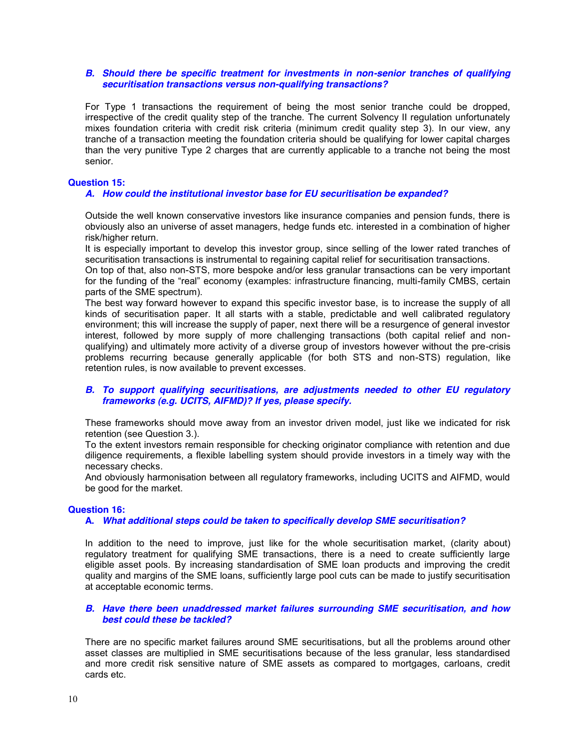### *B. Should there be specific treatment for investments in non-senior tranches of qualifying securitisation transactions versus non-qualifying transactions?*

For Type 1 transactions the requirement of being the most senior tranche could be dropped, irrespective of the credit quality step of the tranche. The current Solvency II regulation unfortunately mixes foundation criteria with credit risk criteria (minimum credit quality step 3). In our view, any tranche of a transaction meeting the foundation criteria should be qualifying for lower capital charges than the very punitive Type 2 charges that are currently applicable to a tranche not being the most senior.

#### **Question 15:**

#### *A. How could the institutional investor base for EU securitisation be expanded?*

Outside the well known conservative investors like insurance companies and pension funds, there is obviously also an universe of asset managers, hedge funds etc. interested in a combination of higher risk/higher return.

It is especially important to develop this investor group, since selling of the lower rated tranches of securitisation transactions is instrumental to regaining capital relief for securitisation transactions.

On top of that, also non-STS, more bespoke and/or less granular transactions can be very important for the funding of the "real" economy (examples: infrastructure financing, multi-family CMBS, certain parts of the SME spectrum).

The best way forward however to expand this specific investor base, is to increase the supply of all kinds of securitisation paper. It all starts with a stable, predictable and well calibrated regulatory environment; this will increase the supply of paper, next there will be a resurgence of general investor interest, followed by more supply of more challenging transactions (both capital relief and nonqualifying) and ultimately more activity of a diverse group of investors however without the pre-crisis problems recurring because generally applicable (for both STS and non-STS) regulation, like retention rules, is now available to prevent excesses.

#### *B. To support qualifying securitisations, are adjustments needed to other EU regulatory frameworks (e.g. UCITS, AIFMD)? If yes, please specify.*

These frameworks should move away from an investor driven model, just like we indicated for risk retention (see Question 3.).

To the extent investors remain responsible for checking originator compliance with retention and due diligence requirements, a flexible labelling system should provide investors in a timely way with the necessary checks.

And obviously harmonisation between all regulatory frameworks, including UCITS and AIFMD, would be good for the market.

#### **Question 16:**

#### **A.** *What additional steps could be taken to specifically develop SME securitisation?*

In addition to the need to improve, just like for the whole securitisation market, (clarity about) regulatory treatment for qualifying SME transactions, there is a need to create sufficiently large eligible asset pools. By increasing standardisation of SME loan products and improving the credit quality and margins of the SME loans, sufficiently large pool cuts can be made to justify securitisation at acceptable economic terms.

#### *B. Have there been unaddressed market failures surrounding SME securitisation, and how best could these be tackled?*

There are no specific market failures around SME securitisations, but all the problems around other asset classes are multiplied in SME securitisations because of the less granular, less standardised and more credit risk sensitive nature of SME assets as compared to mortgages, carloans, credit cards etc.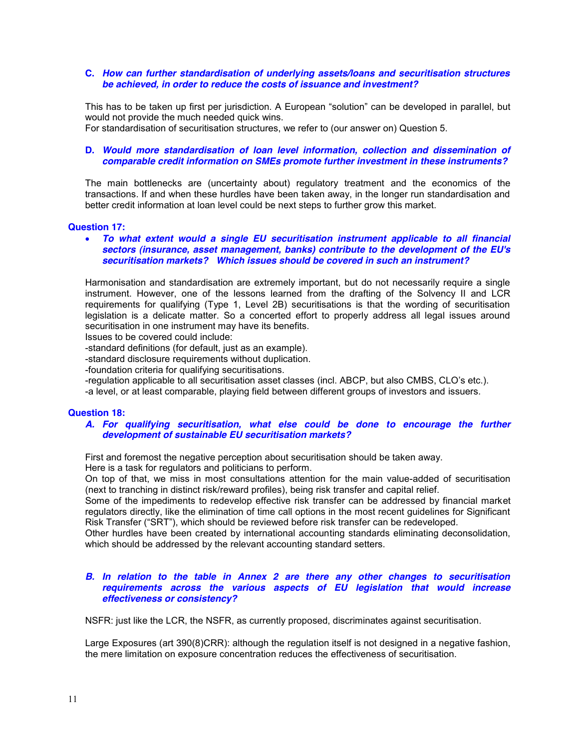### **C.** *How can further standardisation of underlying assets/loans and securitisation structures be achieved, in order to reduce the costs of issuance and investment?*

This has to be taken up first per jurisdiction. A European "solution" can be developed in parallel, but would not provide the much needed quick wins.

For standardisation of securitisation structures, we refer to (our answer on) Question 5.

### **D.** *Would more standardisation of loan level information, collection and dissemination of comparable credit information on SMEs promote further investment in these instruments?*

The main bottlenecks are (uncertainty about) regulatory treatment and the economics of the transactions. If and when these hurdles have been taken away, in the longer run standardisation and better credit information at loan level could be next steps to further grow this market.

### **Question 17:**

#### x *To what extent would a single EU securitisation instrument applicable to all financial sectors (insurance, asset management, banks) contribute to the development of the EU's securitisation markets? Which issues should be covered in such an instrument?*

Harmonisation and standardisation are extremely important, but do not necessarily require a single instrument. However, one of the lessons learned from the drafting of the Solvency II and LCR requirements for qualifying (Type 1, Level 2B) securitisations is that the wording of securitisation legislation is a delicate matter. So a concerted effort to properly address all legal issues around securitisation in one instrument may have its benefits.

Issues to be covered could include:

-standard definitions (for default, just as an example).

-standard disclosure requirements without duplication.

-foundation criteria for qualifying securitisations.

-regulation applicable to all securitisation asset classes (incl. ABCP, but also CMBS, CLO's etc.).

-a level, or at least comparable, playing field between different groups of investors and issuers.

### **Question 18:**

#### *A. For qualifying securitisation, what else could be done to encourage the further development of sustainable EU securitisation markets?*

First and foremost the negative perception about securitisation should be taken away.

Here is a task for regulators and politicians to perform.

On top of that, we miss in most consultations attention for the main value-added of securitisation (next to tranching in distinct risk/reward profiles), being risk transfer and capital relief.

Some of the impediments to redevelop effective risk transfer can be addressed by financial market regulators directly, like the elimination of time call options in the most recent guidelines for Significant Risk Transfer ("SRT"), which should be reviewed before risk transfer can be redeveloped.

Other hurdles have been created by international accounting standards eliminating deconsolidation, which should be addressed by the relevant accounting standard setters.

#### *B. In relation to the table in Annex 2 are there any other changes to securitisation requirements across the various aspects of EU legislation that would increase effectiveness or consistency?*

NSFR: just like the LCR, the NSFR, as currently proposed, discriminates against securitisation.

Large Exposures (art 390(8)CRR): although the regulation itself is not designed in a negative fashion, the mere limitation on exposure concentration reduces the effectiveness of securitisation.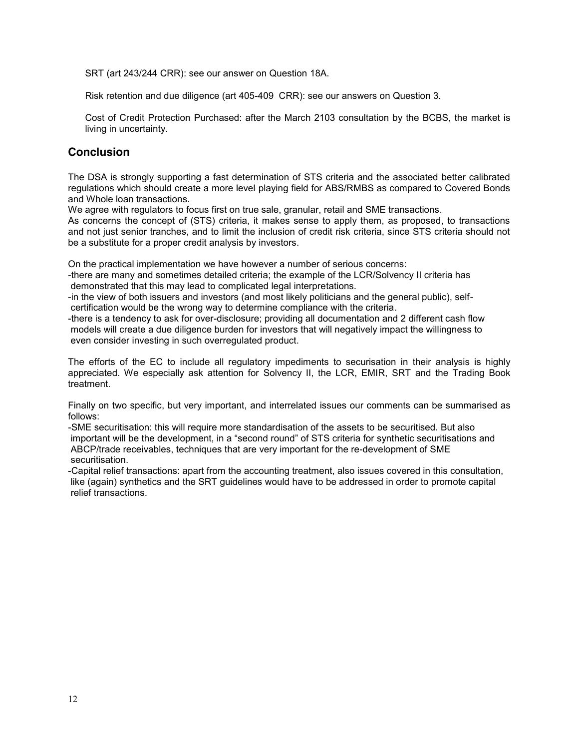SRT (art 243/244 CRR): see our answer on Question 18A.

Risk retention and due diligence (art 405-409 CRR): see our answers on Question 3.

Cost of Credit Protection Purchased: after the March 2103 consultation by the BCBS, the market is living in uncertainty.

# **Conclusion**

The DSA is strongly supporting a fast determination of STS criteria and the associated better calibrated regulations which should create a more level playing field for ABS/RMBS as compared to Covered Bonds and Whole loan transactions.

We agree with regulators to focus first on true sale, granular, retail and SME transactions.

As concerns the concept of (STS) criteria, it makes sense to apply them, as proposed, to transactions and not just senior tranches, and to limit the inclusion of credit risk criteria, since STS criteria should not be a substitute for a proper credit analysis by investors.

On the practical implementation we have however a number of serious concerns:

-there are many and sometimes detailed criteria; the example of the LCR/Solvency II criteria has demonstrated that this may lead to complicated legal interpretations.

-in the view of both issuers and investors (and most likely politicians and the general public), selfcertification would be the wrong way to determine compliance with the criteria.

-there is a tendency to ask for over-disclosure; providing all documentation and 2 different cash flow models will create a due diligence burden for investors that will negatively impact the willingness to even consider investing in such overregulated product.

The efforts of the EC to include all regulatory impediments to securisation in their analysis is highly appreciated. We especially ask attention for Solvency II, the LCR, EMIR, SRT and the Trading Book treatment.

Finally on two specific, but very important, and interrelated issues our comments can be summarised as follows:

-SME securitisation: this will require more standardisation of the assets to be securitised. But also important will be the development, in a "second round" of STS criteria for synthetic securitisations and ABCP/trade receivables, techniques that are very important for the re-development of SME securitisation.

-Capital relief transactions: apart from the accounting treatment, also issues covered in this consultation, like (again) synthetics and the SRT guidelines would have to be addressed in order to promote capital relief transactions.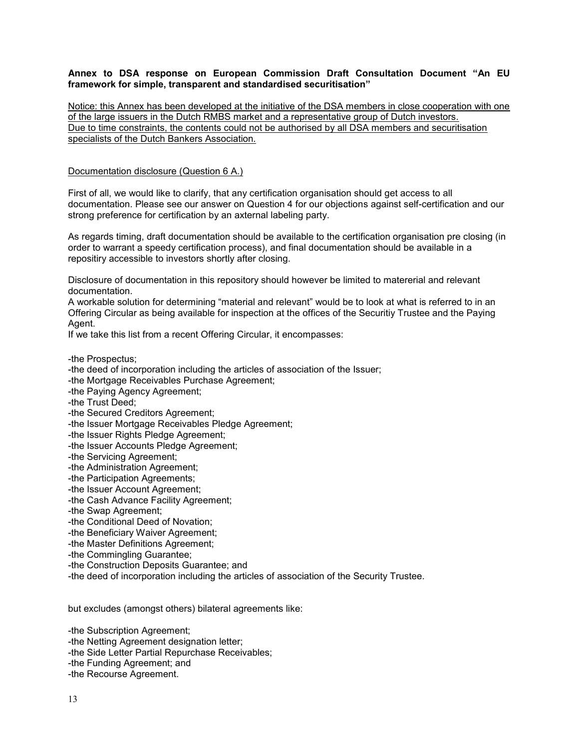### Annex to DSA response on European Commission Draft Consultation Document "An EU **framework for simple, transparent and standardised securitisation"**

Notice: this Annex has been developed at the initiative of the DSA members in close cooperation with one of the large issuers in the Dutch RMBS market and a representative group of Dutch investors. Due to time constraints, the contents could not be authorised by all DSA members and securitisation specialists of the Dutch Bankers Association.

### Documentation disclosure (Question 6 A.)

First of all, we would like to clarify, that any certification organisation should get access to all documentation. Please see our answer on Question 4 for our objections against self-certification and our strong preference for certification by an axternal labeling party.

As regards timing, draft documentation should be available to the certification organisation pre closing (in order to warrant a speedy certification process), and final documentation should be available in a repositiry accessible to investors shortly after closing.

Disclosure of documentation in this repository should however be limited to matererial and relevant documentation.

A workable solution for determining "material and relevant" would be to look at what is referred to in an Offering Circular as being available for inspection at the offices of the Securitiy Trustee and the Paying Agent.

If we take this list from a recent Offering Circular, it encompasses:

-the Prospectus;

- -the deed of incorporation including the articles of association of the Issuer;
- -the Mortgage Receivables Purchase Agreement;
- -the Paying Agency Agreement;
- -the Trust Deed;
- -the Secured Creditors Agreement;
- -the Issuer Mortgage Receivables Pledge Agreement;
- -the Issuer Rights Pledge Agreement;
- -the Issuer Accounts Pledge Agreement;
- -the Servicing Agreement;
- -the Administration Agreement;
- -the Participation Agreements;
- -the Issuer Account Agreement;
- -the Cash Advance Facility Agreement;
- -the Swap Agreement;
- -the Conditional Deed of Novation;
- -the Beneficiary Waiver Agreement;
- -the Master Definitions Agreement;
- -the Commingling Guarantee;
- -the Construction Deposits Guarantee; and
- -the deed of incorporation including the articles of association of the Security Trustee.

but excludes (amongst others) bilateral agreements like:

-the Subscription Agreement;

-the Netting Agreement designation letter;

-the Side Letter Partial Repurchase Receivables;

- -the Funding Agreement; and
- -the Recourse Agreement.